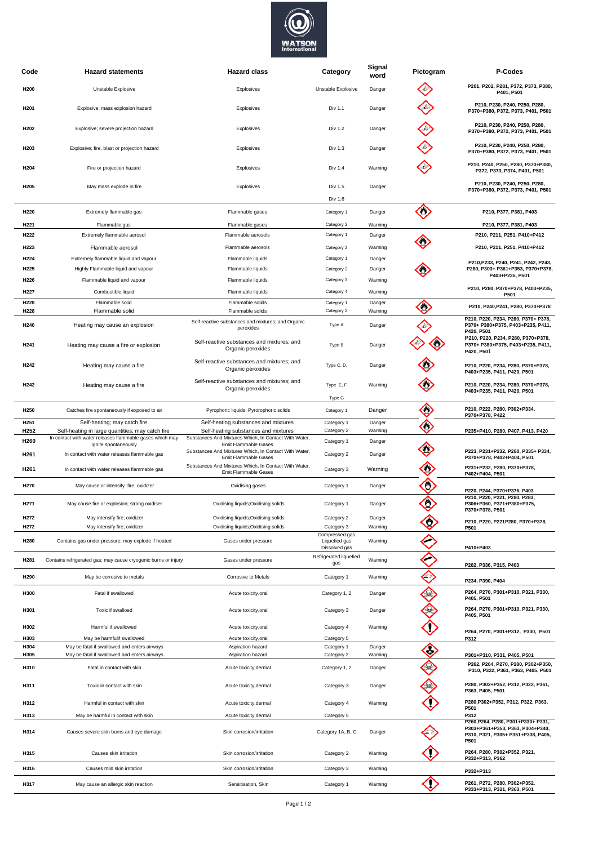

| Code                                 | <b>Hazard statements</b>                                                                     | <b>Hazard class</b>                                                                                   | Category                                | Signal<br>word    | Pictogram | P-Codes                                                                                                              |
|--------------------------------------|----------------------------------------------------------------------------------------------|-------------------------------------------------------------------------------------------------------|-----------------------------------------|-------------------|-----------|----------------------------------------------------------------------------------------------------------------------|
| H <sub>200</sub>                     | Unstable Explosive                                                                           | Explosives                                                                                            | Unstable Explosive                      | Danger            |           | P201, P202, P281, P372, P373, P380,<br>P401, P501                                                                    |
| H <sub>201</sub>                     | Explosive; mass explosion hazard                                                             | Explosives                                                                                            | Div 1.1                                 | Danger            |           | P210, P230, P240, P250, P280,<br>P370+P380, P372, P373, P401, P501                                                   |
| H <sub>202</sub>                     | Explosive; severe projection hazard                                                          | Explosives                                                                                            | Div 1.2                                 | Danger            |           | P210, P230, P240, P250, P280,<br>P370+P380, P372, P373, P401, P501                                                   |
| H203                                 | Explosive; fire, blast or projection hazard                                                  | Explosives                                                                                            | Div 1.3                                 | Danger            |           | P210, P230, P240, P250, P280,<br>P370+P380, P372, P373, P401, P501                                                   |
| H204                                 | Fire or projection hazard                                                                    | Explosives                                                                                            | Div 1.4                                 | Warning           |           | P210, P240, P250, P280, P370+P380,<br>P372, P373, P374, P401, P501                                                   |
| H205                                 | May mass explode in fire                                                                     | Explosives                                                                                            | Div 1.5                                 | Danger            |           | P210, P230, P240, P250, P280,<br>P370+P380, P372, P373, P401, P501                                                   |
|                                      |                                                                                              |                                                                                                       | Div 1.6                                 |                   |           |                                                                                                                      |
| H220<br>H <sub>221</sub>             | Extremely flammable gas<br>Flammable gas                                                     | Flammable gases<br>Flammable gases                                                                    | Category 1<br>Category 2                | Danger<br>Warning | ◇         | P210, P377, P381, P403<br>P210, P377, P381, P403                                                                     |
| H222                                 | Extremely flammable aerosol                                                                  | Flammable aerosols                                                                                    | Category 1                              | Danger            |           | P210, P211, P251, P410+P412                                                                                          |
| H223                                 | Flammable aerosol                                                                            | Flammable aerosols                                                                                    | Category 2                              | Warning           |           | P210, P211, P251, P410+P412                                                                                          |
| H224                                 | Extremely flammable liquid and vapour                                                        | Flammable liquids                                                                                     | Category 1                              | Danger            |           |                                                                                                                      |
| H225                                 | Highly Flammable liquid and vapour                                                           | Flammable liquids                                                                                     | Category 2                              | Danger            |           | P210, P233, P240, P241, P242, P243,<br>P280, P303+ P361+P353, P370+P378,                                             |
| H226                                 | Flammable liquid and vapour                                                                  | Flammable liquids                                                                                     | Category 3                              | Warning           |           | P403+P235, P501                                                                                                      |
| H227                                 | Combustible liquid                                                                           | Flammable liquids                                                                                     | Category 4                              | Warning           |           | P210, P280, P370+P378, P403+P235,<br>P501                                                                            |
| H228                                 | Flammable solid                                                                              | Flammable solids                                                                                      | Category 1                              | Danger            | ◇         | P210, P240, P241, P280, P370+P378                                                                                    |
| H228                                 | Flammable solid                                                                              | Flammable solids                                                                                      | Category 2                              | Warning           |           |                                                                                                                      |
| H <sub>240</sub>                     | Heating may cause an explosion                                                               | Self-reactive substances and mixtures; and Organic<br>peroxides                                       | Type A                                  | Danger            |           | P210, P220, P234, P280, P370+ P378,<br>P370+ P380+P375, P403+P235, P411,<br>P420, P501                               |
| H <sub>241</sub>                     | Heating may cause a fire or explosion                                                        | Self-reactive substances and mixtures; and<br>Organic peroxides                                       | Type B                                  | Danger            |           | P210, P220, P234, P280, P370+P378,<br>P370+ P380+P375, P403+P235, P411,<br>P420, P501                                |
| H242                                 | Heating may cause a fire                                                                     | Self-reactive substances and mixtures; and<br>Organic peroxides                                       | Type C, D,                              | Danger            |           | P210, P220, P234, P280, P370+P378,<br>P403+P235, P411, P420, P501                                                    |
| H242                                 | Heating may cause a fire                                                                     | Self-reactive substances and mixtures; and<br>Organic peroxides                                       | Type E, F<br>Type G                     | Warning           |           | P210, P220, P234, P280, P370+P378,<br>P403+P235, P411, P420, P501                                                    |
| H <sub>250</sub>                     | Catches fire spontaneously if exposed to air                                                 | Pyrophoric liquids; Pyrorophoric solids                                                               | Category 1                              | Danger            | ◇         | P210, P222, P280, P302+P334,<br>P370+P378, P422                                                                      |
| H <sub>251</sub><br>H <sub>252</sub> | Self-heating; may catch fire<br>Self-heating in large quantities; may catch fire             | Self-heating substances and mixtures<br>Self-heating substances and mixtures                          | Category 1<br>Category 2                | Danger<br>Warning | €         | P235+P410, P280, P407, P413, P420                                                                                    |
| H260                                 | In contact with water releases flammable gases which may                                     | Substances And Mixtures Which, In Contact With Water,                                                 | Category 1                              | Danger            |           |                                                                                                                      |
| H261                                 | ignite spontaneously<br>In contact with water releases flammable gas                         | Emit Flammable Gases<br>Substances And Mixtures Which, In Contact With Water,<br>Emit Flammable Gases | Category 2                              | Danger            |           | P223, P231+P232, P280, P335+ P334,<br>P370+P378, P402+P404, P501                                                     |
| H261                                 | In contact with water releases flammable gas                                                 | Substances And Mixtures Which, In Contact With Water,<br>Emit Flammable Gases                         | Category 3                              | Warning           | €         | P231+P232, P280, P370+P378,<br>P402+P404, P501                                                                       |
| H270                                 | May cause or intensify fire; oxidizer                                                        | Oxidising gases                                                                                       | Category 1                              | Danger            | C         | P220, P244, P370+P376, P403                                                                                          |
| H <sub>271</sub>                     | May cause fire or explosion; strong oxidiser                                                 | Oxidising liquids; Oxidising solids                                                                   | Category 1                              | Danger            | C         | P210, P220, P221, P280, P283,<br>P306+P360, P371+P380+P375,<br>P370+P378, P501                                       |
| H272<br>H272                         | May intensify fire; oxidizer<br>May intensify fire; oxidizer                                 | Oxidising liquids; Oxidising solids<br>Oxidising liquids; Oxidising solids                            | Category 2<br>Category 3                | Danger<br>Warning | C         | P210, P220, P221P280, P370+P378,<br>P501                                                                             |
| H280                                 | Contains gas under pressure; may explode if heated                                           | Gases under pressure                                                                                  | Compressed gas<br>Liquefied gas         | Warning           |           |                                                                                                                      |
| H281                                 | Contains refrigerated gas; may cause cryogenic burns or injury                               | Gases under pressure                                                                                  | Dissolved gas<br>Refrigerated liquefied | Warning           |           | P410+P403                                                                                                            |
| H <sub>290</sub>                     | May be corrosive to metals                                                                   | Corrosive to Metals                                                                                   | gas<br>Category 1                       | Warning           | €         | P282, P336, P315, P403                                                                                               |
| H300                                 | Fatal if swallowed                                                                           | Acute toxicity, oral                                                                                  | Category 1, 2                           | Danger            | ♦         | P234, P390, P404<br>P264, P270, P301+P310, P321, P330,                                                               |
| H301                                 | Toxic if swalloed                                                                            | Acute toxicity, oral                                                                                  | Category 3                              | Danger            |           | P405, P501<br>P264, P270, P301+P310, P321, P330,                                                                     |
| H302                                 | Harmful if swallowed                                                                         | Acute toxicity, oral                                                                                  | Category 4                              | Warning           |           | P405, P501<br>P264, P270, P301+P312, P330, P501                                                                      |
| H303                                 | May be harmfulif swallowed                                                                   | Acute toxicity, oral                                                                                  | Category 5                              |                   |           | P312                                                                                                                 |
| H304<br>H305                         | May be fatal if swallowed and enters airways<br>May be fatal if swallowed and enters airways | Aspiration hazard<br>Aspiration hazard                                                                | Category 1<br>Category 2                | Danger<br>Warning | ◇         | P301+P310, P331, P405, P501                                                                                          |
| H310                                 | Fatal in contact with skin                                                                   | Acute toxicity, dermal                                                                                | Category 1, 2                           | Danger            | ♦         | P262, P264, P270, P280, P302+P350,<br>P310, P322, P361, P363, P405, P501                                             |
| H311                                 | Toxic in contact with skin                                                                   | Acute toxicity, dermal                                                                                | Category 3                              | Danger            |           | P280, P302+P352, P312, P322, P361,<br>P363, P405, P501                                                               |
| H312                                 | Harmful in contact with skin                                                                 | Acute toxicity, dermal                                                                                | Category 4                              | Warning           |           | P280, P302+P352, P312, P322, P363,<br>P501                                                                           |
| H313<br>H314                         | May be harmful in contact with skin<br>Causes severe skin burns and eye damage               | Acute toxicity, dermal<br>Skin corrosion/irritation                                                   | Category 5<br>Category 1A, B, C         | Danger            |           | P312<br>P260, P264, P280, P301+P330+ P331,<br>P303+P361+P353, P363, P304+P340,<br>P310, P321, P305+ P351+P338, P405, |
| H315                                 | Causes skin irritation                                                                       | Skin corrosion/irritation                                                                             | Category 2                              | Warning           |           | P501<br>P264, P280, P302+P352, P321,<br>P332+P313, P362                                                              |
| H316                                 | Causes mild skin irritation                                                                  | Skin corrosion/irritation                                                                             | Category 3                              | Warning           |           |                                                                                                                      |
|                                      |                                                                                              |                                                                                                       |                                         |                   |           | P332+P313                                                                                                            |
| H317                                 | May cause an allergic skin reaction                                                          | Sensitisation, Skin                                                                                   | Category 1                              | Warning           |           | P261, P272, P280, P302+P352,<br>P333+P313, P321, P363, P501                                                          |